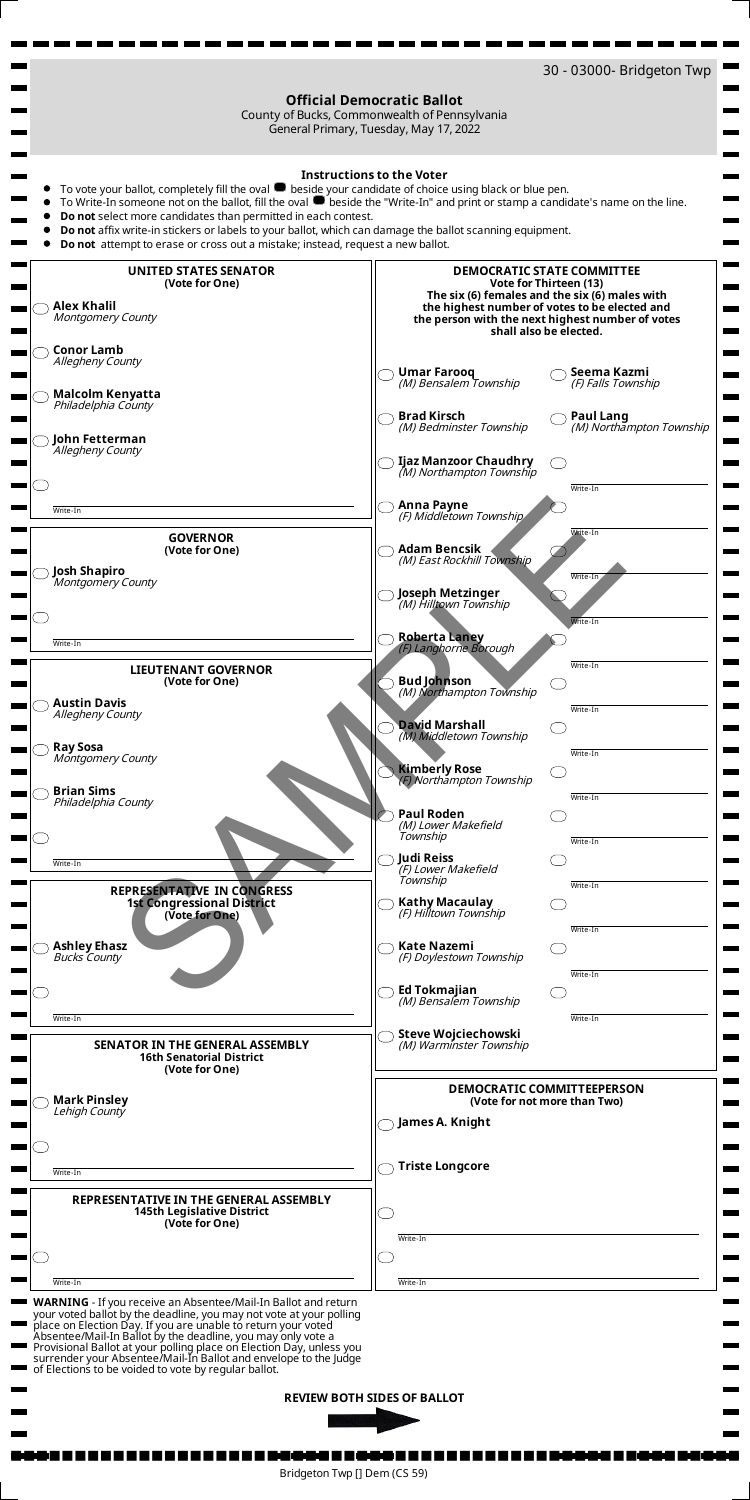

| Lehigh County<br>Write-In                                                                                 | $(100 - 100 - 1100 - 11100 - 11100)$<br>James A. Knight<br><b>Triste Longcore</b> |  |
|-----------------------------------------------------------------------------------------------------------|-----------------------------------------------------------------------------------|--|
| REPRESENTATIVE IN THE GENERAL ASSEMBLY<br><b>145th Legislative District</b><br>(Vote for One)<br>Write-In | Write-In<br>Write-In                                                              |  |

**WARNING** - If you receive an Absentee/Mail-In Ballot and return your voted ballot by the deadline, you may not vote at your polling place on Election Day. If you are unable to return your voted Absentee/Mail-In Ballot by the deadline, you may only vote a Provisional Ballot at your polling place on Election Day, unless you surrender your Absentee/Mail-In Ballot and envelope to the Judge of Elections to be voided to vote by regular ballot.

**REVIEW BOTH SIDES OF BALLOT** 



Bridgeton Twp [] Dem (CS 59)